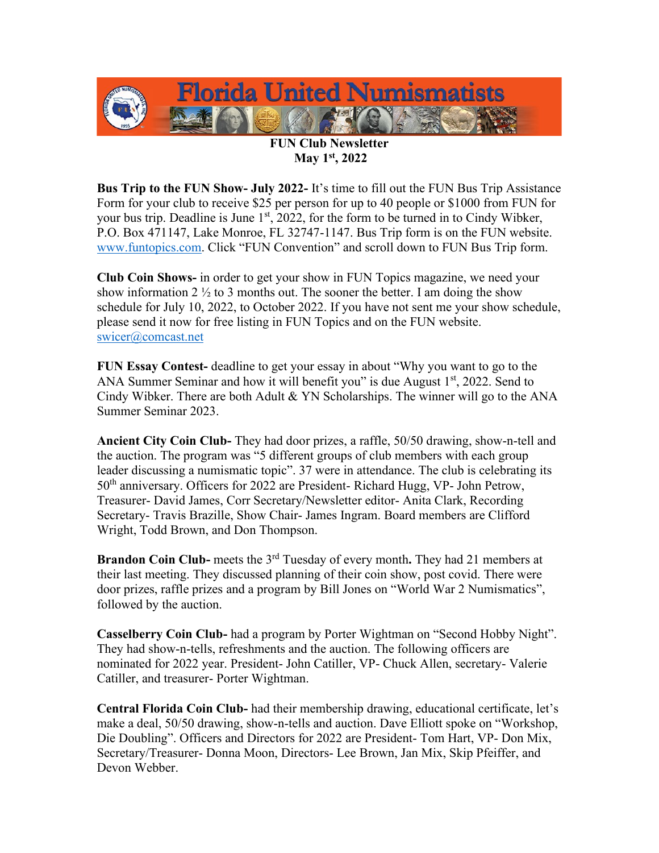

## **FUN Club Newsletter May 1st, 2022**

**Bus Trip to the FUN Show- July 2022-** It's time to fill out the FUN Bus Trip Assistance Form for your club to receive \$25 per person for up to 40 people or \$1000 from FUN for your bus trip. Deadline is June  $1<sup>st</sup>$ , 2022, for the form to be turned in to Cindy Wibker, P.O. Box 471147, Lake Monroe, FL 32747-1147. Bus Trip form is on the FUN website. [www.funtopics.com](http://www.funtopics.com/). Click "FUN Convention" and scroll down to FUN Bus Trip form.

**Club Coin Shows-** in order to get your show in FUN Topics magazine, we need your show information 2  $\frac{1}{2}$  to 3 months out. The sooner the better. I am doing the show schedule for July 10, 2022, to October 2022. If you have not sent me your show schedule, please send it now for free listing in FUN Topics and on the FUN website. [swicer@comcast.net](mailto:swicer@comcast.net)

**FUN Essay Contest-** deadline to get your essay in about "Why you want to go to the ANA Summer Seminar and how it will benefit you" is due August  $1<sup>st</sup>$ , 2022. Send to Cindy Wibker. There are both Adult & YN Scholarships. The winner will go to the ANA Summer Seminar 2023.

**Ancient City Coin Club-** They had door prizes, a raffle, 50/50 drawing, show-n-tell and the auction. The program was "5 different groups of club members with each group leader discussing a numismatic topic". 37 were in attendance. The club is celebrating its 50<sup>th</sup> anniversary. Officers for 2022 are President- Richard Hugg, VP- John Petrow, Treasurer- David James, Corr Secretary/Newsletter editor- Anita Clark, Recording Secretary- Travis Brazille, Show Chair- James Ingram. Board members are Clifford Wright, Todd Brown, and Don Thompson.

**Brandon Coin Club-** meets the 3<sup>rd</sup> Tuesday of every month. They had 21 members at their last meeting. They discussed planning of their coin show, post covid. There were door prizes, raffle prizes and a program by Bill Jones on "World War 2 Numismatics", followed by the auction.

**Casselberry Coin Club-** had a program by Porter Wightman on "Second Hobby Night". They had show-n-tells, refreshments and the auction. The following officers are nominated for 2022 year. President- John Catiller, VP- Chuck Allen, secretary- Valerie Catiller, and treasurer- Porter Wightman.

**Central Florida Coin Club-** had their membership drawing, educational certificate, let's make a deal, 50/50 drawing, show-n-tells and auction. Dave Elliott spoke on "Workshop, Die Doubling". Officers and Directors for 2022 are President- Tom Hart, VP- Don Mix, Secretary/Treasurer- Donna Moon, Directors- Lee Brown, Jan Mix, Skip Pfeiffer, and Devon Webber.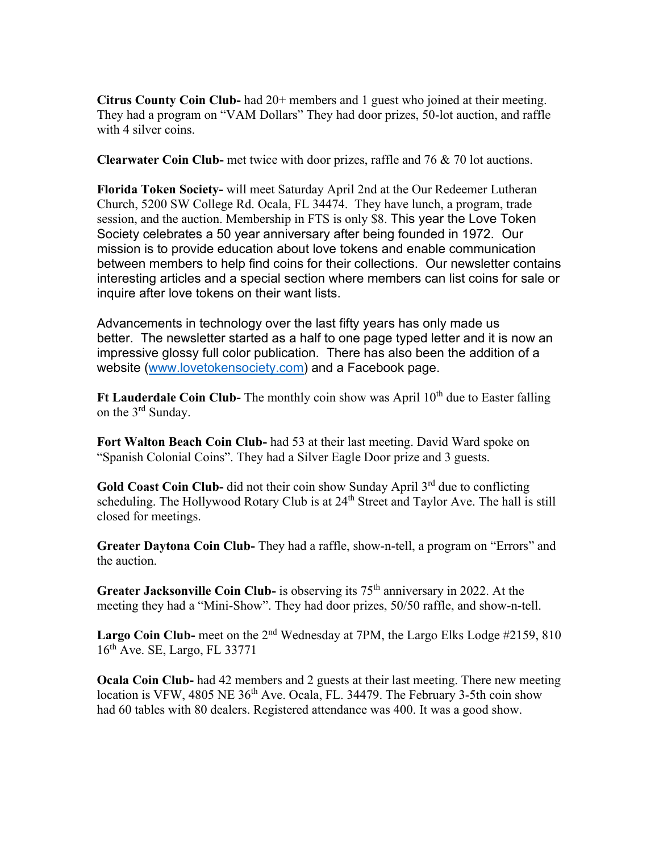**Citrus County Coin Club-** had 20+ members and 1 guest who joined at their meeting. They had a program on "VAM Dollars" They had door prizes, 50-lot auction, and raffle with 4 silver coins.

**Clearwater Coin Club-** met twice with door prizes, raffle and 76 & 70 lot auctions.

**Florida Token Society-** will meet Saturday April 2nd at the Our Redeemer Lutheran Church, 5200 SW College Rd. Ocala, FL 34474. They have lunch, a program, trade session, and the auction. Membership in FTS is only \$8. This year the Love Token Society celebrates a 50 year anniversary after being founded in 1972. Our mission is to provide education about love tokens and enable communication between members to help find coins for their collections. Our newsletter contains interesting articles and a special section where members can list coins for sale or inquire after love tokens on their want lists.

Advancements in technology over the last fifty years has only made us better. The newsletter started as a half to one page typed letter and it is now an impressive glossy full color publication. There has also been the addition of a website [\(www.lovetokensociety.com\)](http://www.lovetokensociety.com/) and a Facebook page.

**Ft Lauderdale Coin Club-** The monthly coin show was April 10<sup>th</sup> due to Easter falling on the 3rd Sunday.

**Fort Walton Beach Coin Club-** had 53 at their last meeting. David Ward spoke on "Spanish Colonial Coins". They had a Silver Eagle Door prize and 3 guests.

Gold Coast Coin Club- did not their coin show Sunday April 3<sup>rd</sup> due to conflicting scheduling. The Hollywood Rotary Club is at  $24<sup>th</sup>$  Street and Taylor Ave. The hall is still closed for meetings.

**Greater Daytona Coin Club-** They had a raffle, show-n-tell, a program on "Errors" and the auction.

**Greater Jacksonville Coin Club-** is observing its 75<sup>th</sup> anniversary in 2022. At the meeting they had a "Mini-Show". They had door prizes, 50/50 raffle, and show-n-tell.

**Largo Coin Club-** meet on the 2<sup>nd</sup> Wednesday at 7PM, the Largo Elks Lodge #2159, 810 16th Ave. SE, Largo, FL 33771

**Ocala Coin Club-** had 42 members and 2 guests at their last meeting. There new meeting location is VFW, 4805 NE  $36<sup>th</sup>$  Ave. Ocala, FL. 34479. The February 3-5th coin show had 60 tables with 80 dealers. Registered attendance was 400. It was a good show.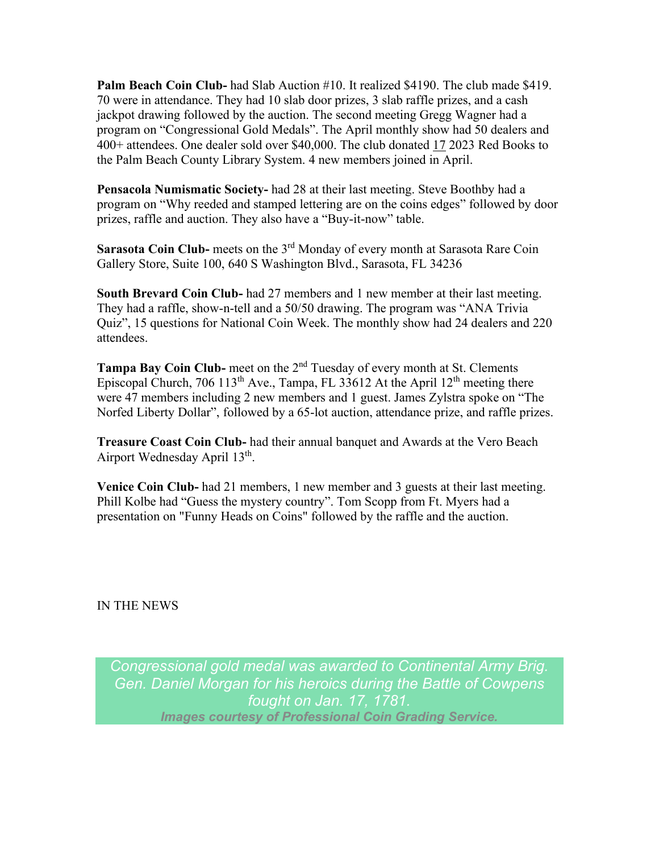**Palm Beach Coin Club-** had Slab Auction #10. It realized \$4190. The club made \$419. 70 were in attendance. They had 10 slab door prizes, 3 slab raffle prizes, and a cash jackpot drawing followed by the auction. The second meeting Gregg Wagner had a program on "Congressional Gold Medals". The April monthly show had 50 dealers and 400+ attendees. One dealer sold over \$40,000. The club donated 17 2023 Red Books to the Palm Beach County Library System. 4 new members joined in April.

**Pensacola Numismatic Society-** had 28 at their last meeting. Steve Boothby had a program on "Why reeded and stamped lettering are on the coins edges" followed by door prizes, raffle and auction. They also have a "Buy-it-now" table.

**Sarasota Coin Club-** meets on the 3<sup>rd</sup> Monday of every month at Sarasota Rare Coin Gallery Store, Suite 100, 640 S Washington Blvd., Sarasota, FL 34236

**South Brevard Coin Club-** had 27 members and 1 new member at their last meeting. They had a raffle, show-n-tell and a 50/50 drawing. The program was "ANA Trivia Quiz", 15 questions for National Coin Week. The monthly show had 24 dealers and 220 attendees.

**Tampa Bay Coin Club-** meet on the 2nd Tuesday of every month at St. Clements Episcopal Church, 706 113<sup>th</sup> Ave., Tampa, FL 33612 At the April 12<sup>th</sup> meeting there were 47 members including 2 new members and 1 guest. James Zylstra spoke on "The Norfed Liberty Dollar", followed by a 65-lot auction, attendance prize, and raffle prizes.

**Treasure Coast Coin Club-** had their annual banquet and Awards at the Vero Beach Airport Wednesday April 13<sup>th</sup>.

**Venice Coin Club-** had 21 members, 1 new member and 3 guests at their last meeting. Phill Kolbe had "Guess the mystery country". Tom Scopp from Ft. Myers had a presentation on "Funny Heads on Coins" followed by the raffle and the auction.

IN THE NEWS

*Congressional gold medal was awarded to Continental Army Brig. Gen. Daniel Morgan for his heroics during the Battle of Cowpens fought on Jan. 17, 1781. Images courtesy of Professional Coin Grading Service.*